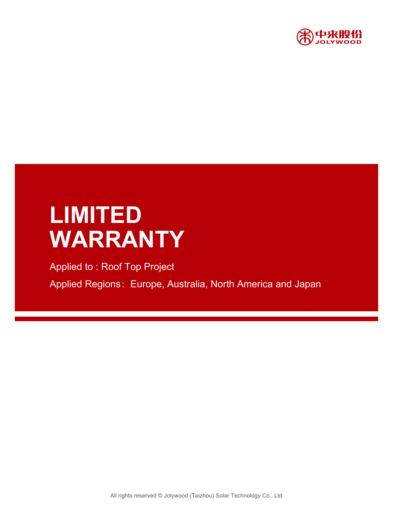

# **LIMITED WARRANTY**

Applied to : Roof Top Project Applied Regions: Europe, Australia, North America and Japan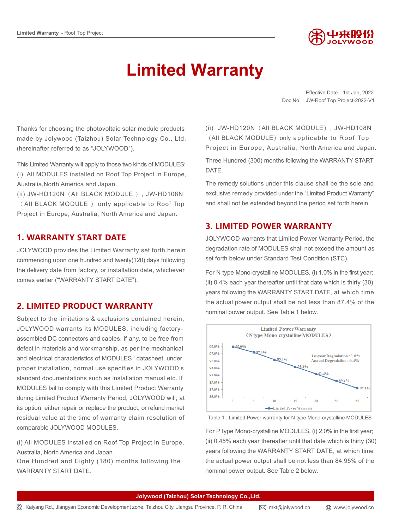

## **Limited Warranty**

Effective Date: 1st Jan, 2022 Doc No.: JW-Roof Top Project-2022-V1

Thanks for choosing the photovoltaic solar module products made by Jolywood (Taizhou) Solar Technology Co., Ltd. (hereinafter referred to as "JOLYWOOD").

This Limited Warranty will apply to those two kinds of MODULES: (i) All MODULES installed on Roof Top Project in Europe, Australia,North America and Japan.

(ii) JW-HD120N(All BLACK MODULE ), JW-HD108N ( All BLACK MODULE ) only applicable to Roof Top Project in Europe, Australia, North America and Japan.

#### **1. WARRANTY START DATE**

JOLYWOOD provides the Limited Warranty set forth herein commencing upon one hundred and twenty(120) days following the delivery date from factory, or installation date, whichever comes earlier ("WARRANTY START DATE").

#### **2. LIMITED PRODUCT WARRANTY**

Subject to the limitations & exclusions contained herein, JOLYWOOD warrants its MODULES, including factoryassembled DC connectors and cables, if any, to be free from defect in materials and workmanship, as per the mechanical and electrical characteristics of MODULES ' datasheet, under proper installation, normal use specifies in JOLYWOOD's standard documentations such as installation manual etc. If MODULES fail to comply with this Limited Product Warranty during Limited Product Warranty Period, JOLYWOOD will, at its option, either repair or replace the product, or refund market residual value at the time of warranty claim resolution of comparable JOLYWOOD MODULES.

(i) All MODULES installed on Roof Top Project in Europe, Australia, North America and Japan.

One Hundred and Eighty (180) months following the WARRANTY START DATE.

(ii) JW-HD120N(All BLACK MODULE), JW-HD108N (All BLACK MODULE) only applicable to Roof Top Project in Europe, Australia, North America and Japan.

Three Hundred (300) months following the WARRANTY START DATE.

The remedy solutions under this clause shall be the sole and exclusive remedy provided under the "Limited Product Warranty" and shall not be extended beyond the period set forth herein.

#### **3. LIMITED POWER WARRANTY**

JOLYWOOD warrants that Limited Power Warranty Period, the degradation rate of MODULES shall not exceed the amount as set forth below under Standard Test Condition (STC).

For N type Mono-crystalline MODULES, (i) 1.0% in the first year; (ii) 0.4% each year thereafter until that date which is thirty (30) years following the WARRANTY START DATE, at which time the actual power output shall be not less than 87.4% of the nominal power output. See Table 1 below.



Table 1 : Limited Power warranty for N type Mono-crystalline MODULES

For P type Mono-crystalline MODULES, (i) 2.0% in the first year; (ii) 0.45% each year thereafter until that date which is thirty (30) years following the WARRANTY START DATE, at which time the actual power output shall be not less than 84.95% of the nominal power output. See Table 2 below.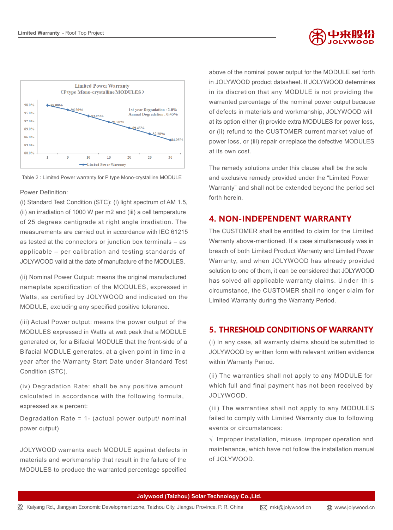



Table 2 : Limited Power warranty for P type Mono-crystalline MODULE

#### Power Definition:

(i) Standard Test Condition (STC): (i) light spectrum of AM 1.5, (ii) an irradiation of 1000 W per m2 and (iii) a cell temperature of 25 degrees centigrade at right angle irradiation. The measurements are carried out in accordance with IEC 61215 as tested at the connectors or junction box terminals – as applicable – per calibration and testing standards of JOLYWOOD valid at the date of manufacture of the MODULES.

(ii) Nominal Power Output: means the original manufactured nameplate specification of the MODULES, expressed in Watts, as certified by JOLYWOOD and indicated on the MODULE, excluding any specified positive tolerance.

(iii) Actual Power output: means the power output of the MODULES expressed in Watts at watt peak that a MODULE generated or, for a Bifacial MODULE that the front-side of a Bifacial MODULE generates, at a given point in time in a year after the Warranty Start Date under Standard Test Condition (STC).

(iv) Degradation Rate: shall be any positive amount calculated in accordance with the following formula, expressed as a percent:

Degradation Rate = 1- (actual power output/ nominal power output)

JOLYWOOD warrants each MODULE against defects in materials and workmanship that result in the failure of the MODULES to produce the warranted percentage specified

above of the nominal power output for the MODULE set forth in JOLYWOOD product datasheet. If JOLYWOOD determines in its discretion that any MODULE is not providing the warranted percentage of the nominal power output because of defects in materials and workmanship, JOLYWOOD will at its option either (i) provide extra MODULES for power loss, or (ii) refund to the CUSTOMER current market value of power loss, or (iii) repair or replace the defective MODULES at its own cost.

The remedy solutions under this clause shall be the sole and exclusive remedy provided under the "Limited Power Warranty" and shall not be extended beyond the period set forth herein.

#### **4. NON-INDEPENDENT WARRANTY**

The CUSTOMER shall be entitled to claim for the Limited Warranty above-mentioned. If a case simultaneously was in breach of both Limited Product Warranty and Limited Power Warranty, and when JOLYWOOD has already provided solution to one of them, it can be considered that JOLYWOOD has solved all applicable warranty claims. Under this circumstance, the CUSTOMER shall no longer claim for Limited Warranty during the Warranty Period.

#### **5. THRESHOLD CONDITIONS OF WARRANTY**

(i) In any case, all warranty claims should be submitted to JOLYWOOD by written form with relevant written evidence within Warranty Period.

(ii) The warranties shall not apply to any MODULE for which full and final payment has not been received by JOLYWOOD.

(iii) The warranties shall not apply to any MODULES failed to comply with Limited Warranty due to following events or circumstances:

 $\sqrt{ }$  Improper installation, misuse, improper operation and maintenance, which have not follow the installation manual of JOLYWOOD.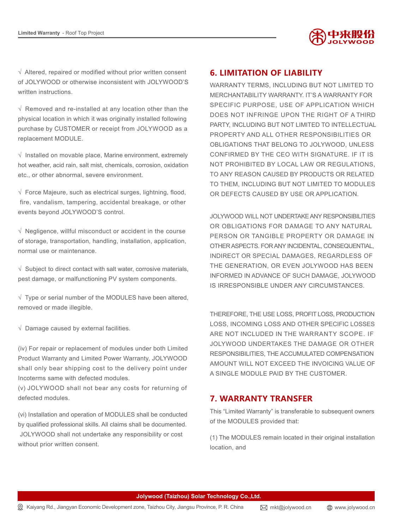

 $\sqrt{ }$  Altered, repaired or modified without prior written consent of JOLYWOOD or otherwise inconsistent with JOLYWOOD'S written instructions.

 $\sqrt{ }$  Removed and re-installed at any location other than the physical location in which it was originally installed following purchase by CUSTOMER or receipt from JOLYWOOD as a replacement MODULE.

 $\sqrt{ }$  Installed on movable place, Marine environment, extremely hot weather, acid rain, salt mist, chemicals, corrosion, oxidation etc., or other abnormal, severe environment.

 $\sqrt{ }$  Force Majeure, such as electrical surges, lightning, flood, fire, vandalism, tampering, accidental breakage, or other events beyond JOLYWOOD'S control.

 $\sqrt{ }$  Negligence, willful misconduct or accident in the course of storage, transportation, handling, installation, application, normal use or maintenance.

 $\sqrt{ }$  Subject to direct contact with salt water, corrosive materials, pest damage, or malfunctioning PV system components.

 $\sqrt{\phantom{a}}$  Type or serial number of the MODULES have been altered, removed or made illegible.

 $\sqrt{ }$  Damage caused by external facilities.

(iv) For repair or replacement of modules under both Limited Product Warranty and Limited Power Warranty, JOLYWOOD shall only bear shipping cost to the delivery point under Incoterms same with defected modules.

(v) JOLYWOOD shall not bear any costs for returning of defected modules.

(vi) Installation and operation of MODULES shall be conducted by qualified professional skills. All claims shall be documented. JOLYWOOD shall not undertake any responsibility or cost without prior written consent.

#### **6. LIMITATION OF LIABILITY**

WARRANTY TERMS, INCLUDING BUT NOT LIMITED TO MERCHANTABILITY WARRANTY. IT'S A WARRANTY FOR SPECIFIC PURPOSE, USE OF APPLICATION WHICH DOES NOT INFRINGE UPON THE RIGHT OF A THIRD PARTY, INCLUDING BUT NOT LIMITED TO INTELLECTUAL PROPERTY AND ALL OTHER RESPONSIBILITIES OR OBLIGATIONS THAT BELONG TO JOLYWOOD, UNLESS CONFIRMED BY THE CEO WITH SIGNATURE. IF IT IS NOT PROHIBITED BY LOCAL LAW OR REGULATIONS, TO ANY REASON CAUSED BY PRODUCTS OR RELATED TO THEM, INCLUDING BUT NOT LIMITED TO MODULES OR DEFECTS CAUSED BY USE OR APPLICATION.

JOLYWOOD WILL NOT UNDERTAKE ANY RESPONSIBILITIES OR OBLIGATIONS FOR DAMAGE TO ANY NATURAL PERSON OR TANGIBLE PROPERTY OR DAMAGE IN OTHER ASPECTS. FOR ANY INCIDENTAL, CONSEQUENTIAL, INDIRECT OR SPECIAL DAMAGES, REGARDLESS OF THE GENERATION, OR EVEN JOLYWOOD HAS BEEN INFORMED IN ADVANCE OF SUCH DAMAGE, JOLYWOOD IS IRRESPONSIBLE UNDER ANY CIRCUMSTANCES.

THEREFORE, THE USE LOSS, PROFIT LOSS, PRODUCTION LOSS, INCOMING LOSS AND OTHER SPECIFIC LOSSES ARE NOT INCLUDED IN THE WARRANTY SCOPE. IF JOLYWOOD UNDERTAKES THE DAMAGE OR OTHER RESPONSIBILITIES, THE ACCUMULATED COMPENSATION AMOUNT WILL NOT EXCEED THE INVOICING VALUE OF A SINGLE MODULE PAID BY THE CUSTOMER.

#### **7. WARRANTY TRANSFER**

This "Limited Warranty" is transferable to subsequent owners of the MODULES provided that:

(1) The MODULES remain located in their original installation location, and

**Jolywood (Taizhou) Solar Technology Co.,Ltd.**